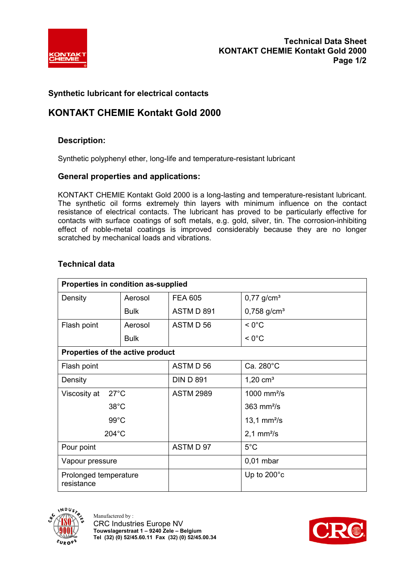

## **Synthetic lubricant for electrical contacts**

# **KONTAKT CHEMIE Kontakt Gold 2000**

## **Description:**

Synthetic polyphenyl ether, long-life and temperature-resistant lubricant

#### **General properties and applications:**

KONTAKT CHEMIE Kontakt Gold 2000 is a long-lasting and temperature-resistant lubricant. The synthetic oil forms extremely thin layers with minimum influence on the contact resistance of electrical contacts. The lubricant has proved to be particularly effective for contacts with surface coatings of soft metals, e.g. gold, silver, tin. The corrosion-inhibiting effect of noble-metal coatings is improved considerably because they are no longer scratched by mechanical loads and vibrations.

| Properties in condition as-supplied |             |                  |                           |
|-------------------------------------|-------------|------------------|---------------------------|
| Density                             | Aerosol     | <b>FEA 605</b>   | $0,77$ g/cm <sup>3</sup>  |
|                                     | <b>Bulk</b> | ASTM D 891       | $0,758$ g/cm <sup>3</sup> |
| Flash point                         | Aerosol     | ASTM D 56        | $< 0^{\circ}$ C           |
|                                     | <b>Bulk</b> |                  | $< 0^{\circ}$ C           |
| Properties of the active product    |             |                  |                           |
| Flash point                         |             | ASTM D 56        | Ca. 280°C                 |
| Density                             |             | <b>DIN D 891</b> | 1,20 $cm3$                |
| $27^{\circ}$ C<br>Viscosity at      |             | <b>ASTM 2989</b> | 1000 mm $^{2}/s$          |
| $38^{\circ}$ C                      |             |                  | $363$ mm $2/s$            |
| $99^{\circ}$ C                      |             |                  | 13,1 $mm^2/s$             |
| $204^{\circ}$ C                     |             |                  | $2,1$ mm <sup>2</sup> /s  |
| Pour point                          |             | ASTM D 97        | $5^{\circ}$ C             |
| Vapour pressure                     |             |                  | $0,01$ mbar               |
| Prolonged temperature<br>resistance |             |                  | Up to $200^{\circ}$ c     |

## **Technical data**